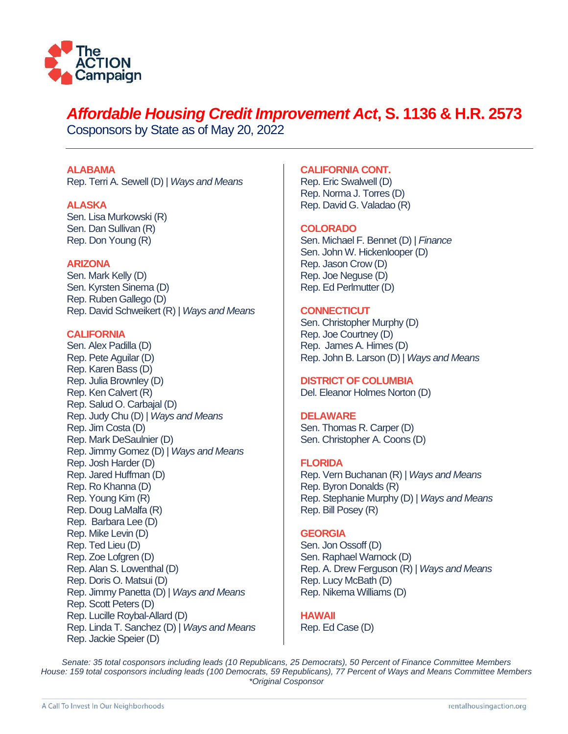

# *Affordable Housing Credit Improvement Act***, S. 1136 & H.R. 2573**

Cosponsors by State as of May 20, 2022

# **ALABAMA**

Rep. Terri A. Sewell (D) | *Ways and Means* 

# **ALASKA**

Sen. Lisa Murkowski (R) Sen. Dan Sullivan (R) Rep. Don Young (R)

# **ARIZONA**

Sen. Mark Kelly (D) Sen. Kyrsten Sinema (D) Rep. Ruben Gallego (D) Rep. David Schweikert (R) | *Ways and Means*

# **CALIFORNIA**

Sen. Alex Padilla (D) Rep. Pete Aguilar (D) Rep. Karen Bass (D) Rep. Julia Brownley (D) Rep. Ken Calvert (R) Rep. Salud O. Carbajal (D) Rep. Judy Chu (D) | *Ways and Means* Rep. Jim Costa (D) Rep. Mark DeSaulnier (D) Rep. Jimmy Gomez (D) | *Ways and Means* Rep. Josh Harder (D) Rep. Jared Huffman (D) Rep. Ro Khanna (D) Rep. Young Kim (R) Rep. Doug LaMalfa (R) Rep. Barbara Lee (D) Rep. Mike Levin (D) Rep. Ted Lieu (D) Rep. Zoe Lofgren (D) Rep. Alan S. Lowenthal (D) Rep. Doris O. Matsui (D) Rep. Jimmy Panetta (D) | *Ways and Means* Rep. Scott Peters (D) Rep. Lucille Roybal-Allard (D) Rep. Linda T. Sanchez (D) | *Ways and Means* Rep. Jackie Speier (D)

# **CALIFORNIA CONT.**

Rep. Eric Swalwell (D) Rep. Norma J. Torres (D) Rep. David G. Valadao (R)

# **COLORADO**

Sen. Michael F. Bennet (D) | *Finance* Sen. John W. Hickenlooper (D) Rep. Jason Crow (D) Rep. Joe Neguse (D) Rep. Ed Perlmutter (D)

# **CONNECTICUT**

Sen. Christopher Murphy (D) Rep. Joe Courtney (D) Rep. James A. Himes (D) Rep. John B. Larson (D) | *Ways and Means*

# **DISTRICT OF COLUMBIA**

Del. Eleanor Holmes Norton (D)

# **DELAWARE**

Sen. Thomas R. Carper (D) Sen. Christopher A. Coons (D)

# **FLORIDA**

Rep. Vern Buchanan (R) | *Ways and Means* Rep. Byron Donalds (R) Rep. Stephanie Murphy (D) | *Ways and Means* Rep. Bill Posey (R)

# **GEORGIA**

Sen. Jon Ossoff (D) Sen. Raphael Warnock (D) Rep. A. Drew Ferguson (R) | *Ways and Means* Rep. Lucy McBath (D) Rep. Nikema Williams (D)

**HAWAII** Rep. Ed Case (D)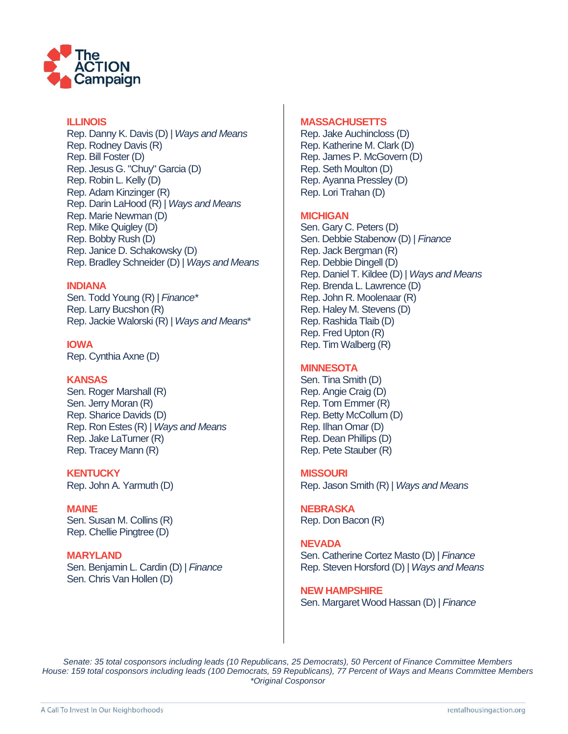

## **ILLINOIS**

Rep. Danny K. Davis (D) | *Ways and Means* Rep. Rodney Davis (R) Rep. Bill Foster (D) Rep. Jesus G. "Chuy" Garcia (D) Rep. Robin L. Kelly (D) Rep. Adam Kinzinger (R) Rep. Darin LaHood (R) | *Ways and Means* Rep. Marie Newman (D) Rep. Mike Quigley (D) Rep. Bobby Rush (D) Rep. Janice D. Schakowsky (D) Rep. Bradley Schneider (D) | *Ways and Means*

## **INDIANA**

Sen. Todd Young (R) | *Finance\** Rep. Larry Bucshon (R) Rep. Jackie Walorski (R) | *Ways and Means*\*

**IOWA**  Rep. Cynthia Axne (D)

# **KANSAS**

Sen. Roger Marshall (R) Sen. Jerry Moran (R) Rep. Sharice Davids (D) Rep. Ron Estes (R) | *Ways and Means* Rep. Jake LaTurner (R) Rep. Tracey Mann (R)

**KENTUCKY** Rep. John A. Yarmuth (D)

**MAINE**  Sen. Susan M. Collins (R) Rep. Chellie Pingtree (D)

**MARYLAND**  Sen. Benjamin L. Cardin (D) | *Finance* Sen. Chris Van Hollen (D)

#### **MASSACHUSETTS**

Rep. Jake Auchincloss (D) Rep. Katherine M. Clark (D) Rep. James P. McGovern (D) Rep. Seth Moulton (D) Rep. Ayanna Pressley (D) Rep. Lori Trahan (D)

# **MICHIGAN**

Sen. Gary C. Peters (D) Sen. Debbie Stabenow (D) | *Finance*  Rep. Jack Bergman (R) Rep. Debbie Dingell (D) Rep. Daniel T. Kildee (D) | *Ways and Means* Rep. Brenda L. Lawrence (D) Rep. John R. Moolenaar (R) Rep. Haley M. Stevens (D) Rep. Rashida Tlaib (D) Rep. Fred Upton (R) Rep. Tim Walberg (R)

# **MINNESOTA**

Sen. Tina Smith (D) Rep. Angie Craig (D) Rep. Tom Emmer (R) Rep. Betty McCollum (D) Rep. Ilhan Omar (D) Rep. Dean Phillips (D) Rep. Pete Stauber (R)

#### **MISSOURI**

Rep. Jason Smith (R) | *Ways and Means* 

**NEBRASKA** Rep. Don Bacon (R)

**NEVADA** Sen. Catherine Cortez Masto (D) | *Finance* Rep. Steven Horsford (D) | *Ways and Means*

**NEW HAMPSHIRE**  Sen. Margaret Wood Hassan (D) | *Finance*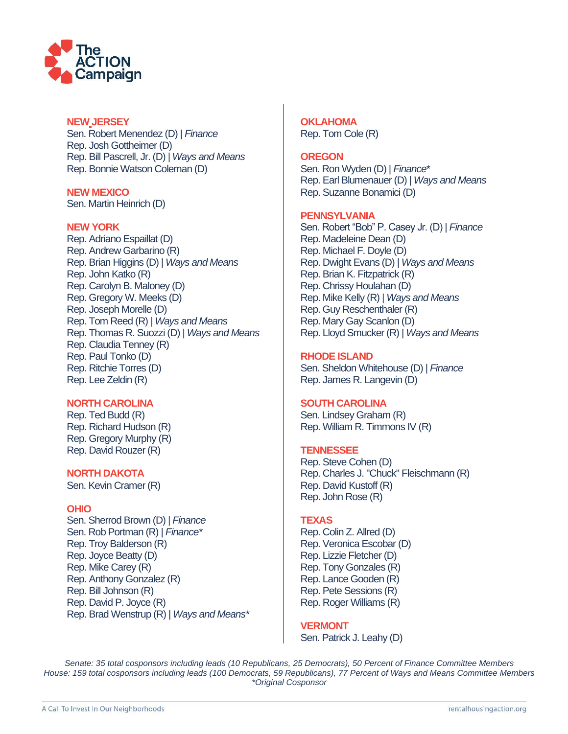

## **NEW JERSEY**

Sen. Robert Menendez (D) | *Finance* Rep. Josh Gottheimer (D) Rep. Bill Pascrell, Jr. (D) | *Ways and Means* Rep. Bonnie Watson Coleman (D)

**NEW MEXICO** Sen. Martin Heinrich (D)

## **NEW YORK**

Rep. Adriano Espaillat (D) Rep. Andrew Garbarino (R) Rep. Brian Higgins (D) | *Ways and Means* Rep. John Katko (R) Rep. Carolyn B. Maloney (D) Rep. Gregory W. Meeks (D) Rep. Joseph Morelle (D) Rep. Tom Reed (R) *| Ways and Means*  Rep. Thomas R. Suozzi (D) | *Ways and Means* Rep. Claudia Tenney (R) Rep. Paul Tonko (D) Rep. Ritchie Torres (D) Rep. Lee Zeldin (R)

# **NORTH CAROLINA**

Rep. Ted Budd (R) Rep. Richard Hudson (R) Rep. Gregory Murphy (R) Rep. David Rouzer (R)

## **NORTH DAKOTA**

Sen. Kevin Cramer (R)

#### **OHIO**

Sen. Sherrod Brown (D) | *Finance* Sen. Rob Portman (R) | *Finance\** Rep. Troy Balderson (R) Rep. Joyce Beatty (D) Rep. Mike Carey (R) Rep. Anthony Gonzalez (R) Rep. Bill Johnson (R) Rep. David P. Joyce (R) Rep. Brad Wenstrup (R) | *Ways and Means\**  **OKLAHOMA**  Rep. Tom Cole (R)

#### **OREGON**

Sen. Ron Wyden (D) | *Finance*\* Rep. Earl Blumenauer (D) | *Ways and Means* Rep. Suzanne Bonamici (D)

#### **PENNSYLVANIA**

Sen. Robert "Bob" P. Casey Jr. (D) | *Finance* Rep. Madeleine Dean (D) Rep. Michael F. Doyle (D) Rep. Dwight Evans (D) | *Ways and Means* Rep. Brian K. Fitzpatrick (R) Rep. Chrissy Houlahan (D) Rep. Mike Kelly (R) | *Ways and Means* Rep. Guy Reschenthaler (R) Rep. Mary Gay Scanlon (D) Rep. Lloyd Smucker (R) | *Ways and Means*

## **RHODE ISLAND**

Sen. Sheldon Whitehouse (D) | *Finance* Rep. James R. Langevin (D)

#### **SOUTH CAROLINA**

Sen. Lindsey Graham (R) Rep. William R. Timmons IV (R)

# **TENNESSEE**

Rep. Steve Cohen (D) Rep. Charles J. "Chuck" Fleischmann (R) Rep. David Kustoff (R) Rep. John Rose (R)

#### **TEXAS**

Rep. Colin Z. Allred (D) Rep. Veronica Escobar (D) Rep. Lizzie Fletcher (D) Rep. Tony Gonzales (R) Rep. Lance Gooden (R) Rep. Pete Sessions (R) Rep. Roger Williams (R)

#### **VERMONT**

Sen. Patrick J. Leahy (D)